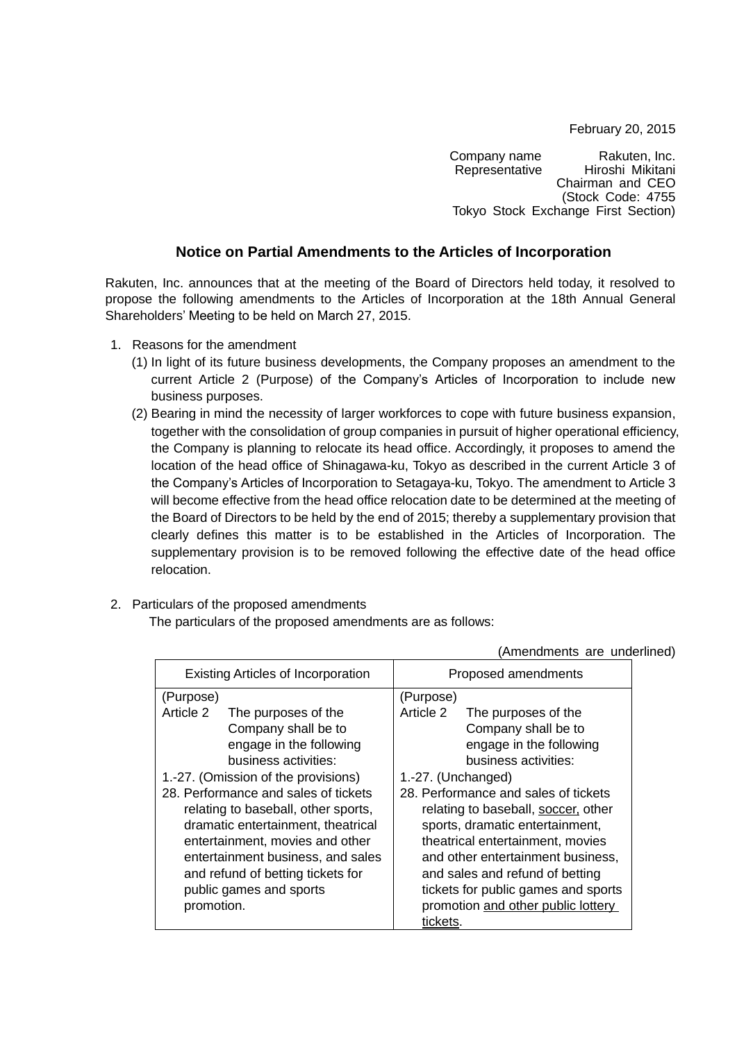February 20, 2015

Company name Rakuten, Inc.<br>Representative Hiroshi Mikitani Hiroshi Mikitani Chairman and CEO (Stock Code: 4755 Tokyo Stock Exchange First Section)

## **Notice on Partial Amendments to the Articles of Incorporation**

Rakuten, Inc. announces that at the meeting of the Board of Directors held today, it resolved to propose the following amendments to the Articles of Incorporation at the 18th Annual General Shareholders' Meeting to be held on March 27, 2015.

- 1. Reasons for the amendment
	- (1) In light of its future business developments, the Company proposes an amendment to the current Article 2 (Purpose) of the Company's Articles of Incorporation to include new business purposes.
	- (2) Bearing in mind the necessity of larger workforces to cope with future business expansion, together with the consolidation of group companies in pursuit of higher operational efficiency, the Company is planning to relocate its head office. Accordingly, it proposes to amend the location of the head office of Shinagawa-ku, Tokyo as described in the current Article 3 of the Company's Articles of Incorporation to Setagaya-ku, Tokyo. The amendment to Article 3 will become effective from the head office relocation date to be determined at the meeting of the Board of Directors to be held by the end of 2015; thereby a supplementary provision that clearly defines this matter is to be established in the Articles of Incorporation. The supplementary provision is to be removed following the effective date of the head office relocation.
- 2. Particulars of the proposed amendments

The particulars of the proposed amendments are as follows:

|                                           |                         |                                      | $\overline{ }$ , $\overline{ }$ , $\overline{ }$ , $\overline{ }$ , $\overline{ }$ , $\overline{ }$ , $\overline{ }$ , $\overline{ }$ , $\overline{ }$ , $\overline{ }$ , $\overline{ }$ , $\overline{ }$ , $\overline{ }$ , $\overline{ }$ , $\overline{ }$ , $\overline{ }$ , $\overline{ }$ , $\overline{ }$ , $\overline{ }$ , $\overline{ }$ , $\overline{ }$ , $\overline{ }$ , $\overline{ }$ , $\overline{ }$ , $\overline{$ |
|-------------------------------------------|-------------------------|--------------------------------------|--------------------------------------------------------------------------------------------------------------------------------------------------------------------------------------------------------------------------------------------------------------------------------------------------------------------------------------------------------------------------------------------------------------------------------------|
| <b>Existing Articles of Incorporation</b> |                         | Proposed amendments                  |                                                                                                                                                                                                                                                                                                                                                                                                                                      |
| (Purpose)                                 |                         | (Purpose)                            |                                                                                                                                                                                                                                                                                                                                                                                                                                      |
| Article 2                                 | The purposes of the     | Article 2                            | The purposes of the                                                                                                                                                                                                                                                                                                                                                                                                                  |
|                                           | Company shall be to     |                                      | Company shall be to                                                                                                                                                                                                                                                                                                                                                                                                                  |
|                                           | engage in the following |                                      | engage in the following                                                                                                                                                                                                                                                                                                                                                                                                              |
|                                           | business activities:    |                                      | business activities:                                                                                                                                                                                                                                                                                                                                                                                                                 |
| 1.-27. (Omission of the provisions)       |                         | 1.-27. (Unchanged)                   |                                                                                                                                                                                                                                                                                                                                                                                                                                      |
| 28. Performance and sales of tickets      |                         | 28. Performance and sales of tickets |                                                                                                                                                                                                                                                                                                                                                                                                                                      |
| relating to baseball, other sports,       |                         | relating to baseball, soccer, other  |                                                                                                                                                                                                                                                                                                                                                                                                                                      |
| dramatic entertainment, theatrical        |                         | sports, dramatic entertainment,      |                                                                                                                                                                                                                                                                                                                                                                                                                                      |
| entertainment, movies and other           |                         | theatrical entertainment, movies     |                                                                                                                                                                                                                                                                                                                                                                                                                                      |
| entertainment business, and sales         |                         | and other entertainment business,    |                                                                                                                                                                                                                                                                                                                                                                                                                                      |
| and refund of betting tickets for         |                         | and sales and refund of betting      |                                                                                                                                                                                                                                                                                                                                                                                                                                      |
| public games and sports                   |                         | tickets for public games and sports  |                                                                                                                                                                                                                                                                                                                                                                                                                                      |
| promotion.                                |                         | promotion and other public lottery   |                                                                                                                                                                                                                                                                                                                                                                                                                                      |
|                                           |                         | tickets.                             |                                                                                                                                                                                                                                                                                                                                                                                                                                      |

(Amendments are underlined)